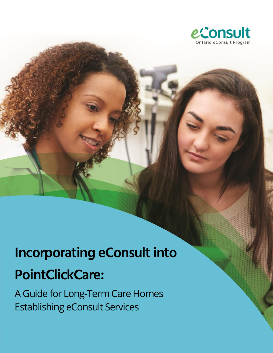

# **Incorporating eConsult into PointClickCare:**

A Guide for Long-Term Care Homes Establishing eConsult Services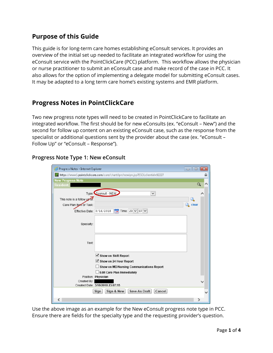# **Purpose of this Guide**

This guide is for long-term care homes establishing eConsult services. It provides an overview of the initial set up needed to facilitate an integrated workflow for using the eConsult service with the PointClickCare (PCC) platform. This workflow allows the physician or nurse practitioner to submit an eConsult case and make record of the case in PCC. It also allows for the option of implementing a delegate model for submitting eConsult cases. It may be adapted to a long term care home's existing systems and EMR platform.

## **Progress Notes in PointClickCare**

Two new progress note types will need to be created in PointClickCare to facilitate an integrated workflow. The first should be for new eConsults (ex. "eConsult – New") and the second for follow up content on an existing eConsult case, such as the response from the specialist or additional questions sent by the provider about the case (ex. "eConsult – Follow Up" or "eConsult – Response").

## **Progress Note Type 1: New eConsult**

| Progress Notes - Internet Explorer                                           | $\Box$<br>--- | $\mathbf{x}$ |
|------------------------------------------------------------------------------|---------------|--------------|
| https://www1.pointclickcare.com/care/chart/ipn/newipn.jsp?ESOLclientid=92227 |               |              |
| <b>New Progress Note</b>                                                     |               |              |
| <b>Resident:</b>                                                             | Q             |              |
| Type: Econsult - NEW<br>v                                                    |               |              |
| This note is a follow up to:                                                 |               |              |
| Care Plan Item or Task:                                                      | clear         |              |
| $\frac{1}{2}$ Time: 23 $\vee$ 07 $\vee$<br>Effective Date: 3/16/2018         |               |              |
|                                                                              |               |              |
| Specialty:                                                                   |               |              |
|                                                                              |               |              |
|                                                                              |               |              |
|                                                                              |               |              |
| Text:                                                                        |               |              |
|                                                                              |               |              |
| ⊻ Show on Shift Report                                                       |               |              |
| Show on 24 Hour Report                                                       |               |              |
| Show on MD/Nursing Communications Report                                     |               |              |
| <b>Edit Care Plan Immediately</b>                                            |               |              |
| Position: Physician                                                          |               |              |
| Created By:<br>Created Date: 3/16/2018 23:07:15                              |               |              |
|                                                                              |               |              |
| <b>Save As Draft</b><br>Sign & New<br>Cancel<br>Sign                         |               |              |
|                                                                              |               |              |

Use the above image as an example for the New eConsult progress note type in PCC. Ensure there are fields for the specialty type and the requesting provider's question.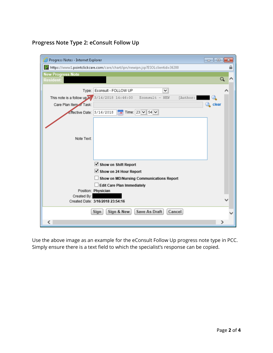## **Progress Note Type 2: eConsult Follow Up**



Use the above image as an example for the eConsult Follow Up progress note type in PCC. Simply ensure there is a text field to which the specialist's response can be copied.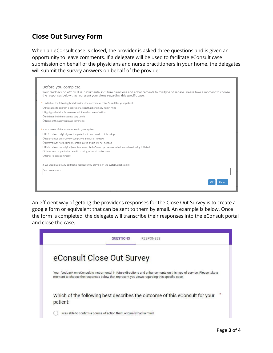## **Close Out Survey Form**

When an eConsult case is closed, the provider is asked three questions and is given an opportunity to leave comments. If a delegate will be used to facilitate eConsult case submission on behalf of the physicians and nurse practitioners in your home, the delegates will submit the survey answers on behalf of the provider.

| Before you complete<br>Your feedback on eConsult is instrumental in future directions and enhancements to this type of service. Please take a moment to choose<br>the responses below that represent your views regarding this specific case: |
|-----------------------------------------------------------------------------------------------------------------------------------------------------------------------------------------------------------------------------------------------|
| *1. Which of the following best describes the outcome of this eConsult for your patient:                                                                                                                                                      |
| $\bigcirc$ I was able to confirm a course of action that I originally had in mind                                                                                                                                                             |
| O I got good advice for a new or additional course of action                                                                                                                                                                                  |
| $\bigcirc$ I did not find the response very useful                                                                                                                                                                                            |
| $\bigcirc$ None of the above (please comment)                                                                                                                                                                                                 |
|                                                                                                                                                                                                                                               |
| *2. As a result of this eConsult would you say that:                                                                                                                                                                                          |
| $\bigcirc$ Referral was originally contemplated but now avoided at this stage                                                                                                                                                                 |
| O Referral was originally contemplated and is still needed                                                                                                                                                                                    |
| O Referral was not originally contemplated and is still not needed                                                                                                                                                                            |
| O Referral was not originally contemplated, but eConsult process resulted in a referral being initiated                                                                                                                                       |
| O There was no particular benefit to using eConsult in this case                                                                                                                                                                              |
| $\bigcirc$ Other (please comment)                                                                                                                                                                                                             |
|                                                                                                                                                                                                                                               |
| 3. We would value any additional feedback you provide on the system/application:                                                                                                                                                              |
| Enter comments                                                                                                                                                                                                                                |
|                                                                                                                                                                                                                                               |
| Cance                                                                                                                                                                                                                                         |
|                                                                                                                                                                                                                                               |

An efficient way of getting the provider's responses for the Close Out Survey is to create a google form or equivalent that can be sent to them by email. An example is below. Once the form is completed, the delegate will transcribe their responses into the eConsult portal and close the case.